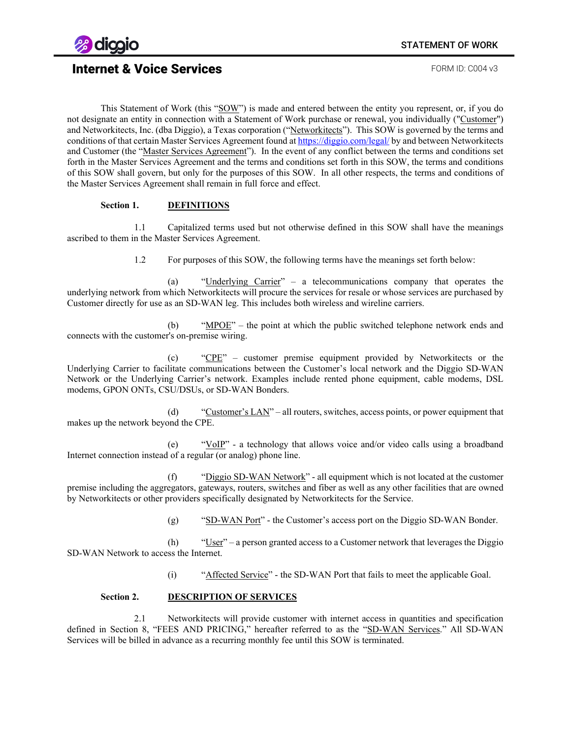

This Statement of Work (this "SOW") is made and entered between the entity you represent, or, if you do not designate an entity in connection with a Statement of Work purchase or renewal, you individually ("Customer") and Networkitects, Inc. (dba Diggio), a Texas corporation ("Networkitects"). This SOW is governed by the terms and conditions of that certain Master Services Agreement found a[t https://diggio.com/legal/](https://diggio.com/legal/msa) by and between Networkitects and Customer (the "Master Services Agreement"). In the event of any conflict between the terms and conditions set forth in the Master Services Agreement and the terms and conditions set forth in this SOW, the terms and conditions of this SOW shall govern, but only for the purposes of this SOW. In all other respects, the terms and conditions of the Master Services Agreement shall remain in full force and effect.

#### **Section 1. DEFINITIONS**

1.1 Capitalized terms used but not otherwise defined in this SOW shall have the meanings ascribed to them in the Master Services Agreement.

1.2 For purposes of this SOW, the following terms have the meanings set forth below:

(a) "Underlying Carrier" – a telecommunications company that operates the underlying network from which Networkitects will procure the services for resale or whose services are purchased by Customer directly for use as an SD-WAN leg. This includes both wireless and wireline carriers.

(b) "MPOE" – the point at which the public switched telephone network ends and connects with the customer's on-premise wiring.

(c) "CPE" – customer premise equipment provided by Networkitects or the Underlying Carrier to facilitate communications between the Customer's local network and the Diggio SD-WAN Network or the Underlying Carrier's network. Examples include rented phone equipment, cable modems, DSL modems, GPON ONTs, CSU/DSUs, or SD-WAN Bonders.

(d) "Customer's  $LAN"$  – all routers, switches, access points, or power equipment that makes up the network beyond the CPE.

(e) " $V_0IP$ " - a technology that allows voice and/or video calls using a broadband Internet connection instead of a regular (or analog) phone line.

(f) "Diggio SD-WAN Network" - all equipment which is not located at the customer premise including the aggregators, gateways, routers, switches and fiber as well as any other facilities that are owned by Networkitects or other providers specifically designated by Networkitects for the Service.

(g)  $"SD-WAN Port"$  - the Customer's access port on the Diggio SD-WAN Bonder.

(h)  $"User" – a person granted access to a Customer network that leverages the Diggio$ SD-WAN Network to access the Internet.

(i) "Affected Service" - the SD-WAN Port that fails to meet the applicable Goal.

#### **Section 2. DESCRIPTION OF SERVICES**

2.1 Networkitects will provide customer with internet access in quantities and specification defined in Section 8, "FEES AND PRICING," hereafter referred to as the "SD-WAN Services." All SD-WAN Services will be billed in advance as a recurring monthly fee until this SOW is terminated.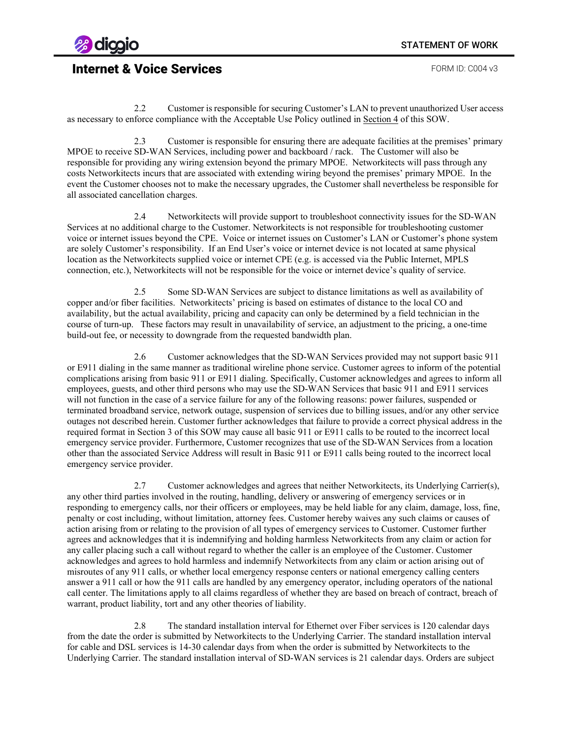

2.2 Customer is responsible for securing Customer's LAN to prevent unauthorized User access as necessary to enforce compliance with the Acceptable Use Policy outlined in Section 4 of this SOW.

2.3 Customer is responsible for ensuring there are adequate facilities at the premises' primary MPOE to receive SD-WAN Services, including power and backboard / rack. The Customer will also be responsible for providing any wiring extension beyond the primary MPOE. Networkitects will pass through any costs Networkitects incurs that are associated with extending wiring beyond the premises' primary MPOE. In the event the Customer chooses not to make the necessary upgrades, the Customer shall nevertheless be responsible for all associated cancellation charges.

2.4 Networkitects will provide support to troubleshoot connectivity issues for the SD-WAN Services at no additional charge to the Customer. Networkitects is not responsible for troubleshooting customer voice or internet issues beyond the CPE. Voice or internet issues on Customer's LAN or Customer's phone system are solely Customer's responsibility. If an End User's voice or internet device is not located at same physical location as the Networkitects supplied voice or internet CPE (e.g. is accessed via the Public Internet, MPLS connection, etc.), Networkitects will not be responsible for the voice or internet device's quality of service.

2.5 Some SD-WAN Services are subject to distance limitations as well as availability of copper and/or fiber facilities. Networkitects' pricing is based on estimates of distance to the local CO and availability, but the actual availability, pricing and capacity can only be determined by a field technician in the course of turn-up. These factors may result in unavailability of service, an adjustment to the pricing, a one-time build-out fee, or necessity to downgrade from the requested bandwidth plan.

2.6 Customer acknowledges that the SD-WAN Services provided may not support basic 911 or E911 dialing in the same manner as traditional wireline phone service. Customer agrees to inform of the potential complications arising from basic 911 or E911 dialing. Specifically, Customer acknowledges and agrees to inform all employees, guests, and other third persons who may use the SD-WAN Services that basic 911 and E911 services will not function in the case of a service failure for any of the following reasons: power failures, suspended or terminated broadband service, network outage, suspension of services due to billing issues, and/or any other service outages not described herein. Customer further acknowledges that failure to provide a correct physical address in the required format in Section 3 of this SOW may cause all basic 911 or E911 calls to be routed to the incorrect local emergency service provider. Furthermore, Customer recognizes that use of the SD-WAN Services from a location other than the associated Service Address will result in Basic 911 or E911 calls being routed to the incorrect local emergency service provider.

2.7 Customer acknowledges and agrees that neither Networkitects, its Underlying Carrier(s), any other third parties involved in the routing, handling, delivery or answering of emergency services or in responding to emergency calls, nor their officers or employees, may be held liable for any claim, damage, loss, fine, penalty or cost including, without limitation, attorney fees. Customer hereby waives any such claims or causes of action arising from or relating to the provision of all types of emergency services to Customer. Customer further agrees and acknowledges that it is indemnifying and holding harmless Networkitects from any claim or action for any caller placing such a call without regard to whether the caller is an employee of the Customer. Customer acknowledges and agrees to hold harmless and indemnify Networkitects from any claim or action arising out of misroutes of any 911 calls, or whether local emergency response centers or national emergency calling centers answer a 911 call or how the 911 calls are handled by any emergency operator, including operators of the national call center. The limitations apply to all claims regardless of whether they are based on breach of contract, breach of warrant, product liability, tort and any other theories of liability.

2.8 The standard installation interval for Ethernet over Fiber services is 120 calendar days from the date the order is submitted by Networkitects to the Underlying Carrier. The standard installation interval for cable and DSL services is 14-30 calendar days from when the order is submitted by Networkitects to the Underlying Carrier. The standard installation interval of SD-WAN services is 21 calendar days. Orders are subject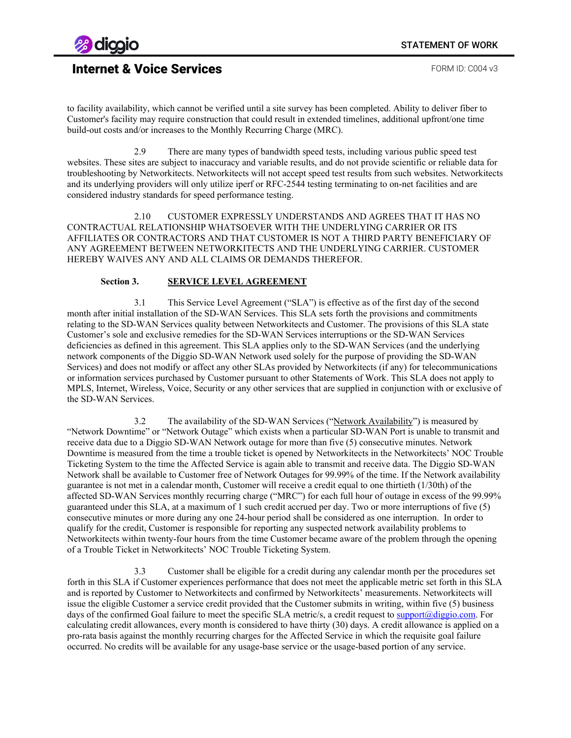

to facility availability, which cannot be verified until a site survey has been completed. Ability to deliver fiber to Customer's facility may require construction that could result in extended timelines, additional upfront/one time build-out costs and/or increases to the Monthly Recurring Charge (MRC).

2.9 There are many types of bandwidth speed tests, including various public speed test websites. These sites are subject to inaccuracy and variable results, and do not provide scientific or reliable data for troubleshooting by Networkitects. Networkitects will not accept speed test results from such websites. Networkitects and its underlying providers will only utilize iperf or RFC-2544 testing terminating to on-net facilities and are considered industry standards for speed performance testing.

2.10 CUSTOMER EXPRESSLY UNDERSTANDS AND AGREES THAT IT HAS NO CONTRACTUAL RELATIONSHIP WHATSOEVER WITH THE UNDERLYING CARRIER OR ITS AFFILIATES OR CONTRACTORS AND THAT CUSTOMER IS NOT A THIRD PARTY BENEFICIARY OF ANY AGREEMENT BETWEEN NETWORKITECTS AND THE UNDERLYING CARRIER. CUSTOMER HEREBY WAIVES ANY AND ALL CLAIMS OR DEMANDS THEREFOR.

### **Section 3. SERVICE LEVEL AGREEMENT**

3.1 This Service Level Agreement ("SLA") is effective as of the first day of the second month after initial installation of the SD-WAN Services. This SLA sets forth the provisions and commitments relating to the SD-WAN Services quality between Networkitects and Customer. The provisions of this SLA state Customer's sole and exclusive remedies for the SD-WAN Services interruptions or the SD-WAN Services deficiencies as defined in this agreement. This SLA applies only to the SD-WAN Services (and the underlying network components of the Diggio SD-WAN Network used solely for the purpose of providing the SD-WAN Services) and does not modify or affect any other SLAs provided by Networkitects (if any) for telecommunications or information services purchased by Customer pursuant to other Statements of Work. This SLA does not apply to MPLS, Internet, Wireless, Voice, Security or any other services that are supplied in conjunction with or exclusive of the SD-WAN Services.

3.2 The availability of the SD-WAN Services ("Network Availability") is measured by "Network Downtime" or "Network Outage" which exists when a particular SD-WAN Port is unable to transmit and receive data due to a Diggio SD-WAN Network outage for more than five (5) consecutive minutes. Network Downtime is measured from the time a trouble ticket is opened by Networkitects in the Networkitects' NOC Trouble Ticketing System to the time the Affected Service is again able to transmit and receive data. The Diggio SD-WAN Network shall be available to Customer free of Network Outages for 99.99% of the time. If the Network availability guarantee is not met in a calendar month, Customer will receive a credit equal to one thirtieth (1/30th) of the affected SD-WAN Services monthly recurring charge ("MRC") for each full hour of outage in excess of the 99.99% guaranteed under this SLA, at a maximum of 1 such credit accrued per day. Two or more interruptions of five (5) consecutive minutes or more during any one 24-hour period shall be considered as one interruption. In order to qualify for the credit, Customer is responsible for reporting any suspected network availability problems to Networkitects within twenty-four hours from the time Customer became aware of the problem through the opening of a Trouble Ticket in Networkitects' NOC Trouble Ticketing System.

3.3 Customer shall be eligible for a credit during any calendar month per the procedures set forth in this SLA if Customer experiences performance that does not meet the applicable metric set forth in this SLA and is reported by Customer to Networkitects and confirmed by Networkitects' measurements. Networkitects will issue the eligible Customer a service credit provided that the Customer submits in writing, within five (5) business days of the confirmed Goal failure to meet the specific SLA metric/s, a credit request t[o support@diggio.com.](mailto:support@diggio.com) For calculating credit allowances, every month is considered to have thirty (30) days. A credit allowance is applied on a pro-rata basis against the monthly recurring charges for the Affected Service in which the requisite goal failure occurred. No credits will be available for any usage-base service or the usage-based portion of any service.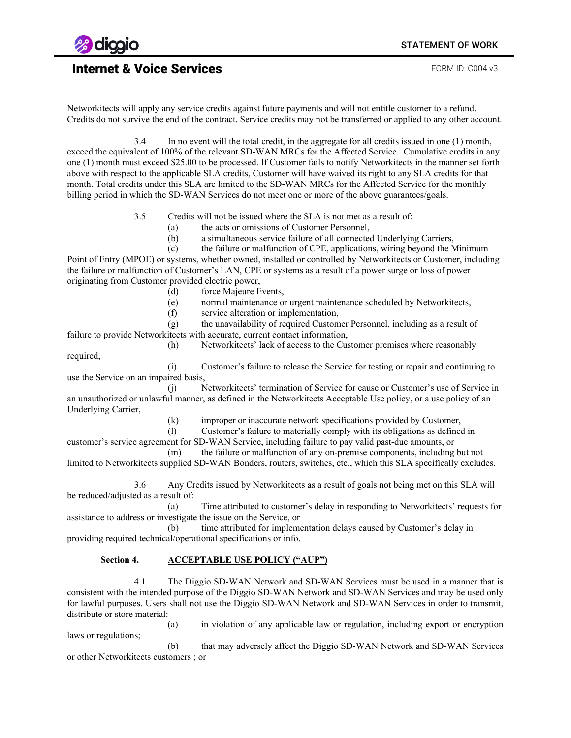

required,

## Internet & Voice Services **FORM ID: C004 v3**

Networkitects will apply any service credits against future payments and will not entitle customer to a refund. Credits do not survive the end of the contract. Service credits may not be transferred or applied to any other account.

3.4 In no event will the total credit, in the aggregate for all credits issued in one (1) month, exceed the equivalent of 100% of the relevant SD-WAN MRCs for the Affected Service. Cumulative credits in any one (1) month must exceed \$25.00 to be processed. If Customer fails to notify Networkitects in the manner set forth above with respect to the applicable SLA credits, Customer will have waived its right to any SLA credits for that month. Total credits under this SLA are limited to the SD-WAN MRCs for the Affected Service for the monthly billing period in which the SD-WAN Services do not meet one or more of the above guarantees/goals.

3.5 Credits will not be issued where the SLA is not met as a result of:

(a) the acts or omissions of Customer Personnel,

(b) a simultaneous service failure of all connected Underlying Carriers,

(c) the failure or malfunction of CPE, applications, wiring beyond the Minimum Point of Entry (MPOE) or systems, whether owned, installed or controlled by Networkitects or Customer, including the failure or malfunction of Customer's LAN, CPE or systems as a result of a power surge or loss of power originating from Customer provided electric power,

- (d) force Majeure Events,
- (e) normal maintenance or urgent maintenance scheduled by Networkitects,
- (f) service alteration or implementation,

(g) the unavailability of required Customer Personnel, including as a result of failure to provide Networkitects with accurate, current contact information,

(h) Networkitects' lack of access to the Customer premises where reasonably

(i) Customer's failure to release the Service for testing or repair and continuing to use the Service on an impaired basis,

(j) Networkitects' termination of Service for cause or Customer's use of Service in an unauthorized or unlawful manner, as defined in the Networkitects Acceptable Use policy, or a use policy of an Underlying Carrier,

(k) improper or inaccurate network specifications provided by Customer,

(l) Customer's failure to materially comply with its obligations as defined in

customer's service agreement for SD-WAN Service, including failure to pay valid past-due amounts, or (m) the failure or malfunction of any on-premise components, including but not

limited to Networkitects supplied SD-WAN Bonders, routers, switches, etc., which this SLA specifically excludes.

3.6 Any Credits issued by Networkitects as a result of goals not being met on this SLA will be reduced/adjusted as a result of:

(a) Time attributed to customer's delay in responding to Networkitects' requests for assistance to address or investigate the issue on the Service, or

(b) time attributed for implementation delays caused by Customer's delay in providing required technical/operational specifications or info.

### **Section 4. ACCEPTABLE USE POLICY ("AUP")**

4.1 The Diggio SD-WAN Network and SD-WAN Services must be used in a manner that is consistent with the intended purpose of the Diggio SD-WAN Network and SD-WAN Services and may be used only for lawful purposes. Users shall not use the Diggio SD-WAN Network and SD-WAN Services in order to transmit, distribute or store material:

(a) in violation of any applicable law or regulation, including export or encryption laws or regulations;

(b) that may adversely affect the Diggio SD-WAN Network and SD-WAN Services or other Networkitects customers ; or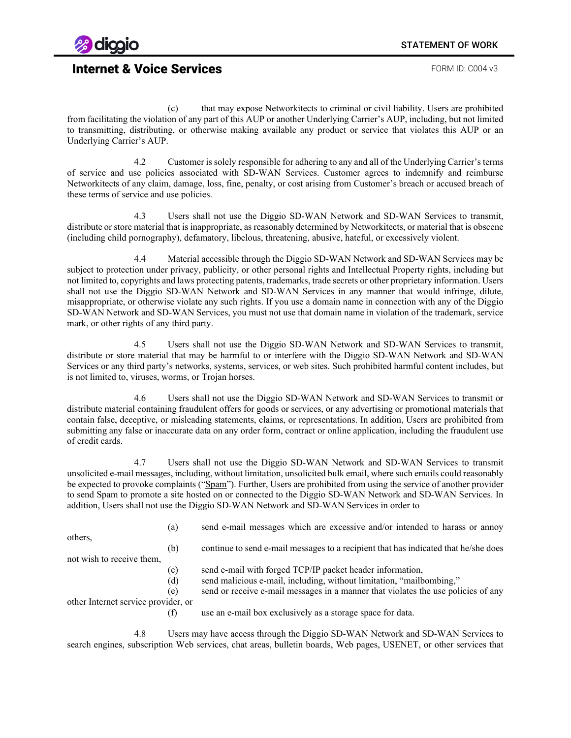

(c) that may expose Networkitects to criminal or civil liability. Users are prohibited from facilitating the violation of any part of this AUP or another Underlying Carrier's AUP, including, but not limited to transmitting, distributing, or otherwise making available any product or service that violates this AUP or an Underlying Carrier's AUP.

4.2 Customer is solely responsible for adhering to any and all of the Underlying Carrier's terms of service and use policies associated with SD-WAN Services. Customer agrees to indemnify and reimburse Networkitects of any claim, damage, loss, fine, penalty, or cost arising from Customer's breach or accused breach of these terms of service and use policies.

4.3 Users shall not use the Diggio SD-WAN Network and SD-WAN Services to transmit, distribute or store material that is inappropriate, as reasonably determined by Networkitects, or material that is obscene (including child pornography), defamatory, libelous, threatening, abusive, hateful, or excessively violent.

4.4 Material accessible through the Diggio SD-WAN Network and SD-WAN Services may be subject to protection under privacy, publicity, or other personal rights and Intellectual Property rights, including but not limited to, copyrights and laws protecting patents, trademarks, trade secrets or other proprietary information. Users shall not use the Diggio SD-WAN Network and SD-WAN Services in any manner that would infringe, dilute, misappropriate, or otherwise violate any such rights. If you use a domain name in connection with any of the Diggio SD-WAN Network and SD-WAN Services, you must not use that domain name in violation of the trademark, service mark, or other rights of any third party.

4.5 Users shall not use the Diggio SD-WAN Network and SD-WAN Services to transmit, distribute or store material that may be harmful to or interfere with the Diggio SD-WAN Network and SD-WAN Services or any third party's networks, systems, services, or web sites. Such prohibited harmful content includes, but is not limited to, viruses, worms, or Trojan horses.

4.6 Users shall not use the Diggio SD-WAN Network and SD-WAN Services to transmit or distribute material containing fraudulent offers for goods or services, or any advertising or promotional materials that contain false, deceptive, or misleading statements, claims, or representations. In addition, Users are prohibited from submitting any false or inaccurate data on any order form, contract or online application, including the fraudulent use of credit cards.

4.7 Users shall not use the Diggio SD-WAN Network and SD-WAN Services to transmit unsolicited e-mail messages, including, without limitation, unsolicited bulk email, where such emails could reasonably be expected to provoke complaints ("Spam"). Further, Users are prohibited from using the service of another provider to send Spam to promote a site hosted on or connected to the Diggio SD-WAN Network and SD-WAN Services. In addition, Users shall not use the Diggio SD-WAN Network and SD-WAN Services in order to

others,

(a) send e-mail messages which are excessive and/or intended to harass or annoy

(b) continue to send e-mail messages to a recipient that has indicated that he/she does not wish to receive them,

- (c) send e-mail with forged TCP/IP packet header information,
- (d) send malicious e-mail, including, without limitation, "mailbombing,"
- (e) send or receive e-mail messages in a manner that violates the use policies of any

other Internet service provider, or

(f) use an e-mail box exclusively as a storage space for data.

4.8 Users may have access through the Diggio SD-WAN Network and SD-WAN Services to search engines, subscription Web services, chat areas, bulletin boards, Web pages, USENET, or other services that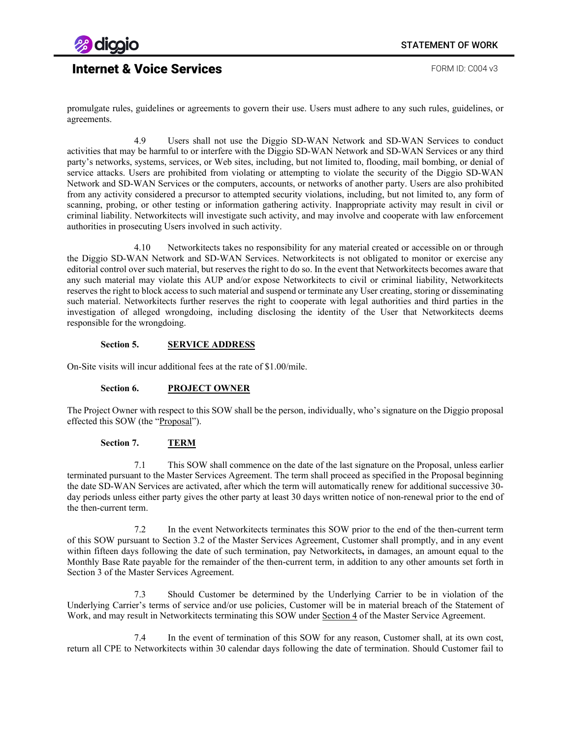

promulgate rules, guidelines or agreements to govern their use. Users must adhere to any such rules, guidelines, or agreements.

4.9 Users shall not use the Diggio SD-WAN Network and SD-WAN Services to conduct activities that may be harmful to or interfere with the Diggio SD-WAN Network and SD-WAN Services or any third party's networks, systems, services, or Web sites, including, but not limited to, flooding, mail bombing, or denial of service attacks. Users are prohibited from violating or attempting to violate the security of the Diggio SD-WAN Network and SD-WAN Services or the computers, accounts, or networks of another party. Users are also prohibited from any activity considered a precursor to attempted security violations, including, but not limited to, any form of scanning, probing, or other testing or information gathering activity. Inappropriate activity may result in civil or criminal liability. Networkitects will investigate such activity, and may involve and cooperate with law enforcement authorities in prosecuting Users involved in such activity.

4.10 Networkitects takes no responsibility for any material created or accessible on or through the Diggio SD-WAN Network and SD-WAN Services. Networkitects is not obligated to monitor or exercise any editorial control over such material, but reserves the right to do so. In the event that Networkitects becomes aware that any such material may violate this AUP and/or expose Networkitects to civil or criminal liability, Networkitects reserves the right to block access to such material and suspend or terminate any User creating, storing or disseminating such material. Networkitects further reserves the right to cooperate with legal authorities and third parties in the investigation of alleged wrongdoing, including disclosing the identity of the User that Networkitects deems responsible for the wrongdoing.

#### **Section 5. SERVICE ADDRESS**

On-Site visits will incur additional fees at the rate of \$1.00/mile.

#### **Section 6. PROJECT OWNER**

The Project Owner with respect to this SOW shall be the person, individually, who's signature on the Diggio proposal effected this SOW (the "Proposal").

#### **Section 7. TERM**

7.1 This SOW shall commence on the date of the last signature on the Proposal, unless earlier terminated pursuant to the Master Services Agreement. The term shall proceed as specified in the Proposal beginning the date SD-WAN Services are activated, after which the term will automatically renew for additional successive 30 day periods unless either party gives the other party at least 30 days written notice of non-renewal prior to the end of the then-current term.

7.2 In the event Networkitects terminates this SOW prior to the end of the then-current term of this SOW pursuant to Section 3.2 of the Master Services Agreement, Customer shall promptly, and in any event within fifteen days following the date of such termination, pay Networkitects**,** in damages, an amount equal to the Monthly Base Rate payable for the remainder of the then-current term, in addition to any other amounts set forth in Section 3 of the Master Services Agreement.

7.3 Should Customer be determined by the Underlying Carrier to be in violation of the Underlying Carrier's terms of service and/or use policies, Customer will be in material breach of the Statement of Work, and may result in Networkitects terminating this SOW under Section 4 of the Master Service Agreement.

7.4 In the event of termination of this SOW for any reason, Customer shall, at its own cost, return all CPE to Networkitects within 30 calendar days following the date of termination. Should Customer fail to